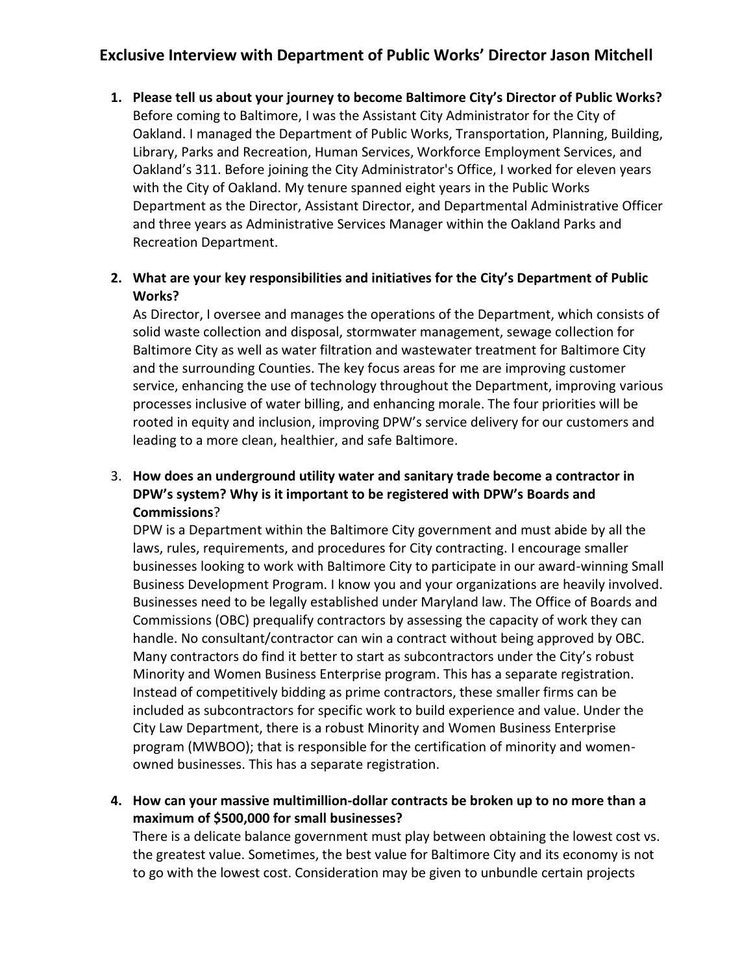# **Exclusive Interview with Department of Public Works' Director Jason Mitchell**

**1. Please tell us about your journey to become Baltimore City's Director of Public Works?** Before coming to Baltimore, I was the Assistant City Administrator for the City of Oakland. I managed the Department of Public Works, Transportation, Planning, Building, Library, Parks and Recreation, Human Services, Workforce Employment Services, and Oakland's 311. Before joining the City Administrator's Office, I worked for eleven years with the City of Oakland. My tenure spanned eight years in the Public Works Department as the Director, Assistant Director, and Departmental Administrative Officer and three years as Administrative Services Manager within the Oakland Parks and Recreation Department.

#### **2. What are your key responsibilities and initiatives for the City's Department of Public Works?**

As Director, I oversee and manages the operations of the Department, which consists of solid waste collection and disposal, stormwater management, sewage collection for Baltimore City as well as water filtration and wastewater treatment for Baltimore City and the surrounding Counties. The key focus areas for me are improving customer service, enhancing the use of technology throughout the Department, improving various processes inclusive of water billing, and enhancing morale. The four priorities will be rooted in equity and inclusion, improving DPW's service delivery for our customers and leading to a more clean, healthier, and safe Baltimore.

## 3. **How does an underground utility water and sanitary trade become a contractor in DPW's system? Why is it important to be registered with DPW's Boards and Commissions**?

DPW is a Department within the Baltimore City government and must abide by all the laws, rules, requirements, and procedures for City contracting. I encourage smaller businesses looking to work with Baltimore City to participate in our award-winning Small Business Development Program. I know you and your organizations are heavily involved. Businesses need to be legally established under Maryland law. The Office of Boards and Commissions (OBC) prequalify contractors by assessing the capacity of work they can handle. No consultant/contractor can win a contract without being approved by OBC. Many contractors do find it better to start as subcontractors under the City's robust Minority and Women Business Enterprise program. This has a separate registration. Instead of competitively bidding as prime contractors, these smaller firms can be included as subcontractors for specific work to build experience and value. Under the City Law Department, there is a robust Minority and Women Business Enterprise program (MWBOO); that is responsible for the certification of minority and womenowned businesses. This has a separate registration.

### **4. How can your massive multimillion-dollar contracts be broken up to no more than a maximum of \$500,000 for small businesses?**

There is a delicate balance government must play between obtaining the lowest cost vs. the greatest value. Sometimes, the best value for Baltimore City and its economy is not to go with the lowest cost. Consideration may be given to unbundle certain projects